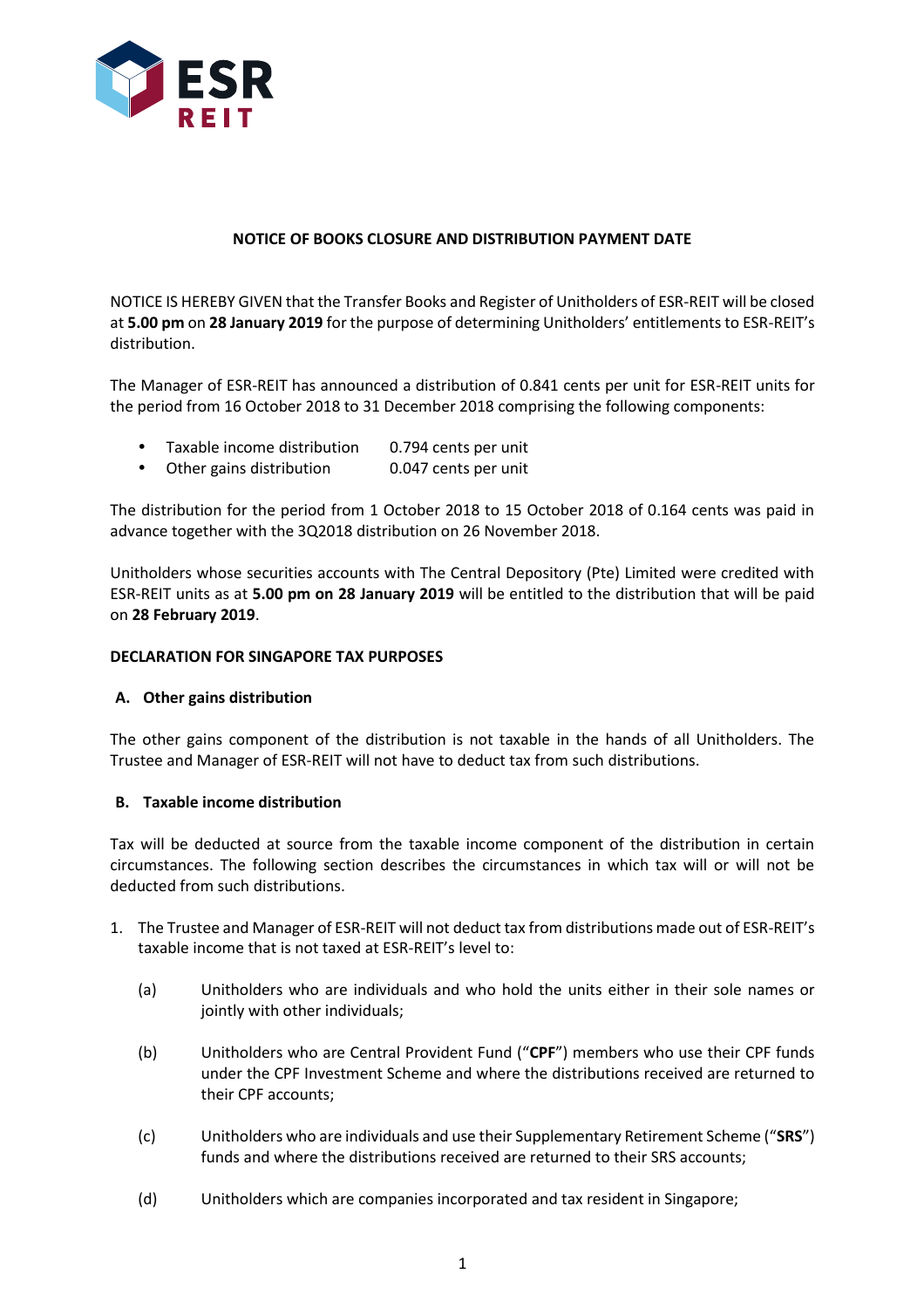

# **NOTICE OF BOOKS CLOSURE AND DISTRIBUTION PAYMENT DATE**

NOTICE IS HEREBY GIVEN that the Transfer Books and Register of Unitholders of ESR-REIT will be closed at **5.00 pm** on **28 January 2019** for the purpose of determining Unitholders' entitlements to ESR-REIT's distribution.

The Manager of ESR-REIT has announced a distribution of 0.841 cents per unit for ESR-REIT units for the period from 16 October 2018 to 31 December 2018 comprising the following components:

- Taxable income distribution 0.794 cents per unit
- Other gains distribution 0.047 cents per unit

The distribution for the period from 1 October 2018 to 15 October 2018 of 0.164 cents was paid in advance together with the 3Q2018 distribution on 26 November 2018.

Unitholders whose securities accounts with The Central Depository (Pte) Limited were credited with ESR-REIT units as at **5.00 pm on 28 January 2019** will be entitled to the distribution that will be paid on **28 February 2019**.

## **DECLARATION FOR SINGAPORE TAX PURPOSES**

## **A. Other gains distribution**

The other gains component of the distribution is not taxable in the hands of all Unitholders. The Trustee and Manager of ESR-REIT will not have to deduct tax from such distributions.

## **B. Taxable income distribution**

Tax will be deducted at source from the taxable income component of the distribution in certain circumstances. The following section describes the circumstances in which tax will or will not be deducted from such distributions.

- 1. The Trustee and Manager of ESR-REIT will not deduct tax from distributions made out of ESR-REIT's taxable income that is not taxed at ESR-REIT's level to:
	- (a) Unitholders who are individuals and who hold the units either in their sole names or jointly with other individuals;
	- (b) Unitholders who are Central Provident Fund ("**CPF**") members who use their CPF funds under the CPF Investment Scheme and where the distributions received are returned to their CPF accounts;
	- (c) Unitholders who are individuals and use their Supplementary Retirement Scheme ("**SRS**") funds and where the distributions received are returned to their SRS accounts;
	- (d) Unitholders which are companies incorporated and tax resident in Singapore;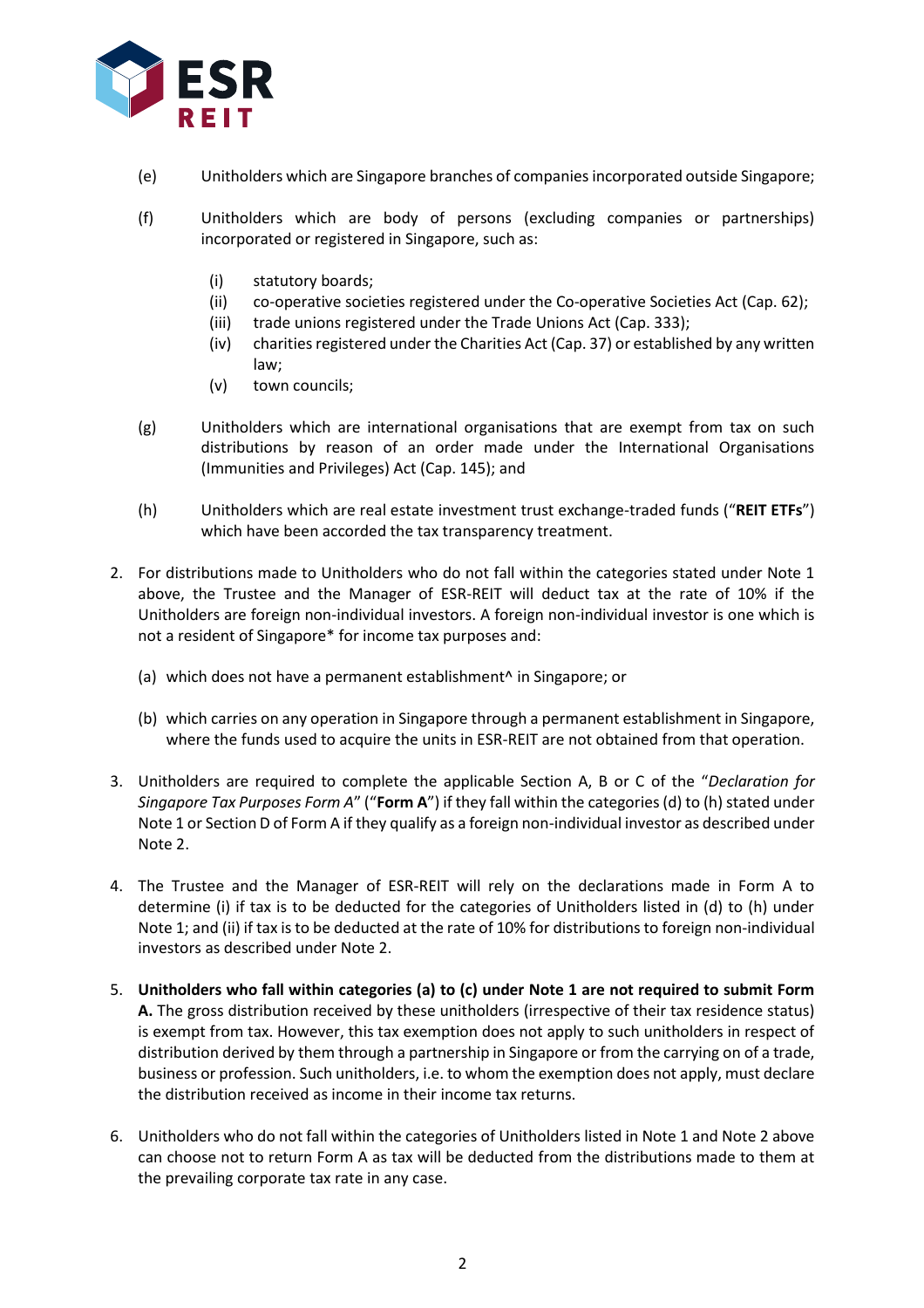

- (e) Unitholders which are Singapore branches of companies incorporated outside Singapore;
- (f) Unitholders which are body of persons (excluding companies or partnerships) incorporated or registered in Singapore, such as:
	- (i) statutory boards;
	- (ii) co-operative societies registered under the Co-operative Societies Act (Cap. 62);
	- (iii) trade unions registered under the Trade Unions Act (Cap. 333);
	- (iv) charities registered under the Charities Act (Cap. 37) or established by any written law;
	- (v) town councils;
- (g) Unitholders which are international organisations that are exempt from tax on such distributions by reason of an order made under the International Organisations (Immunities and Privileges) Act (Cap. 145); and
- (h) Unitholders which are real estate investment trust exchange-traded funds ("**REIT ETFs**") which have been accorded the tax transparency treatment.
- 2. For distributions made to Unitholders who do not fall within the categories stated under Note 1 above, the Trustee and the Manager of ESR-REIT will deduct tax at the rate of 10% if the Unitholders are foreign non-individual investors. A foreign non-individual investor is one which is not a resident of Singapore\* for income tax purposes and:
	- (a) which does not have a permanent establishment^ in Singapore; or
	- (b) which carries on any operation in Singapore through a permanent establishment in Singapore, where the funds used to acquire the units in ESR-REIT are not obtained from that operation.
- 3. Unitholders are required to complete the applicable Section A, B or C of the "*Declaration for Singapore Tax Purposes Form A*" ("**Form A**") if they fall within the categories (d) to (h) stated under Note 1 or Section D of Form A if they qualify as a foreign non-individual investor as described under Note 2.
- 4. The Trustee and the Manager of ESR-REIT will rely on the declarations made in Form A to determine (i) if tax is to be deducted for the categories of Unitholders listed in (d) to (h) under Note 1; and (ii) if tax is to be deducted at the rate of 10% for distributions to foreign non-individual investors as described under Note 2.
- 5. **Unitholders who fall within categories (a) to (c) under Note 1 are not required to submit Form A.** The gross distribution received by these unitholders (irrespective of their tax residence status) is exempt from tax. However, this tax exemption does not apply to such unitholders in respect of distribution derived by them through a partnership in Singapore or from the carrying on of a trade, business or profession. Such unitholders, i.e. to whom the exemption does not apply, must declare the distribution received as income in their income tax returns.
- 6. Unitholders who do not fall within the categories of Unitholders listed in Note 1 and Note 2 above can choose not to return Form A as tax will be deducted from the distributions made to them at the prevailing corporate tax rate in any case.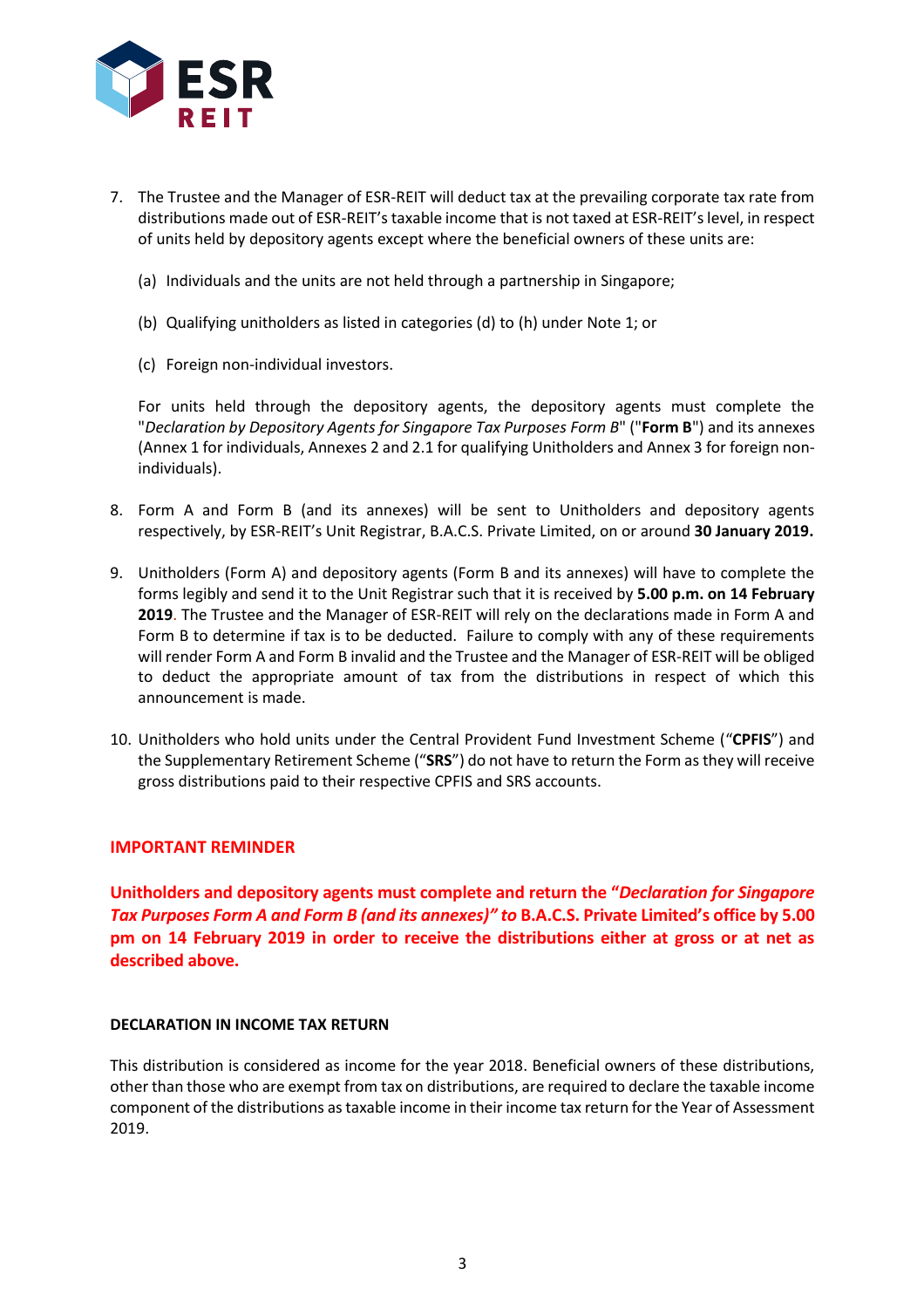

- 7. The Trustee and the Manager of ESR-REIT will deduct tax at the prevailing corporate tax rate from distributions made out of ESR-REIT's taxable income that is not taxed at ESR-REIT's level, in respect of units held by depository agents except where the beneficial owners of these units are:
	- (a) Individuals and the units are not held through a partnership in Singapore;
	- (b) Qualifying unitholders as listed in categories (d) to (h) under Note 1; or
	- (c) Foreign non-individual investors.

For units held through the depository agents, the depository agents must complete the "*Declaration by Depository Agents for Singapore Tax Purposes Form B*" ("**Form B**") and its annexes (Annex 1 for individuals, Annexes 2 and 2.1 for qualifying Unitholders and Annex 3 for foreign nonindividuals).

- 8. Form A and Form B (and its annexes) will be sent to Unitholders and depository agents respectively, by ESR-REIT's Unit Registrar, B.A.C.S. Private Limited, on or around **30 January 2019.**
- 9. Unitholders (Form A) and depository agents (Form B and its annexes) will have to complete the forms legibly and send it to the Unit Registrar such that it is received by **5.00 p.m. on 14 February 2019**. The Trustee and the Manager of ESR-REIT will rely on the declarations made in Form A and Form B to determine if tax is to be deducted. Failure to comply with any of these requirements will render Form A and Form B invalid and the Trustee and the Manager of ESR-REIT will be obliged to deduct the appropriate amount of tax from the distributions in respect of which this announcement is made.
- 10. Unitholders who hold units under the Central Provident Fund Investment Scheme ("**CPFIS**") and the Supplementary Retirement Scheme ("**SRS**") do not have to return the Form as they will receive gross distributions paid to their respective CPFIS and SRS accounts.

## **IMPORTANT REMINDER**

**Unitholders and depository agents must complete and return the "***Declaration for Singapore Tax Purposes Form A and Form B (and its annexes)" to* **B.A.C.S. Private Limited's office by 5.00 pm on 14 February 2019 in order to receive the distributions either at gross or at net as described above.**

## **DECLARATION IN INCOME TAX RETURN**

This distribution is considered as income for the year 2018. Beneficial owners of these distributions, other than those who are exempt from tax on distributions, are required to declare the taxable income component of the distributions as taxable income in their income tax return for the Year of Assessment 2019.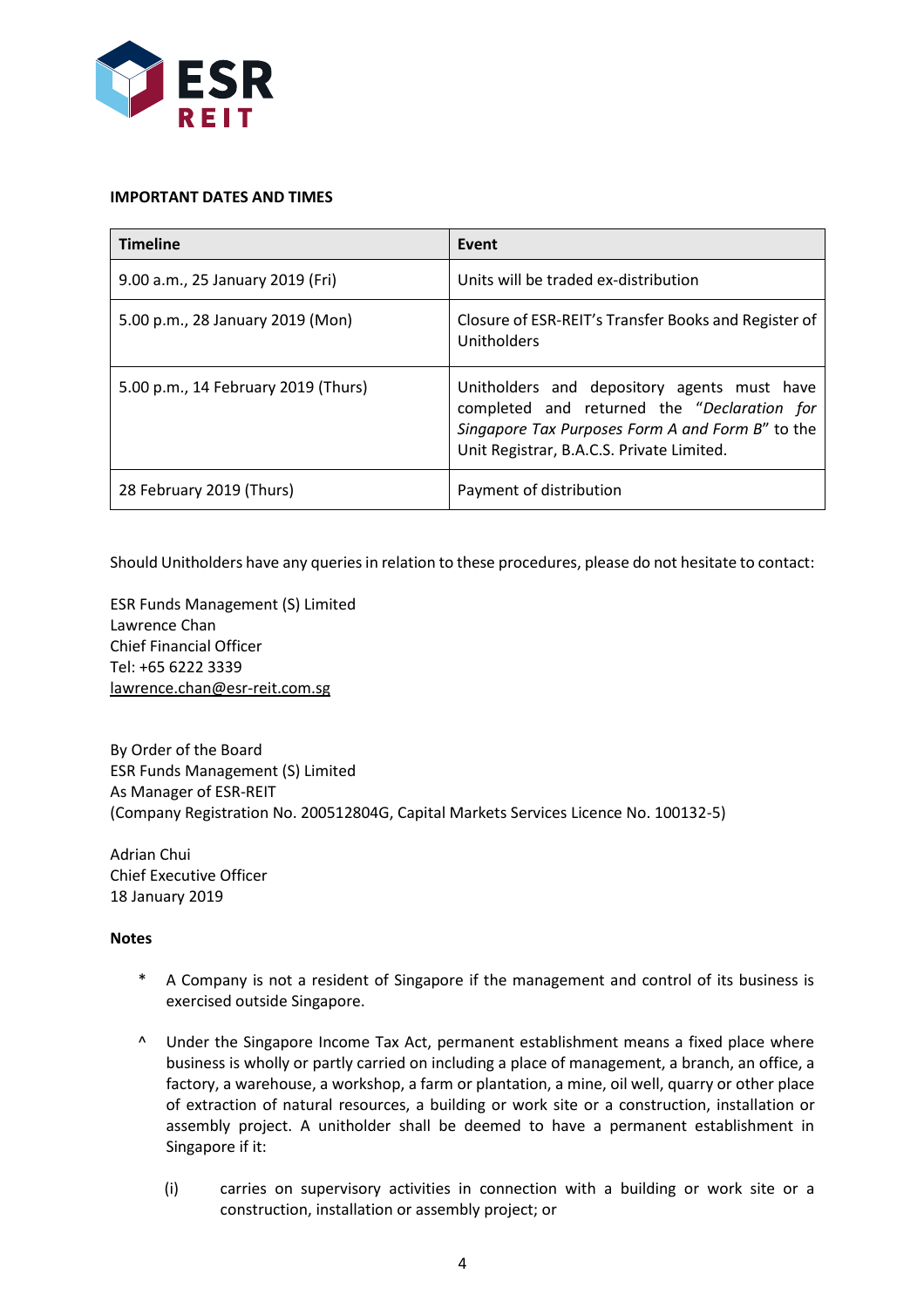

#### **IMPORTANT DATES AND TIMES**

| <b>Timeline</b>                     | Event                                                                                                                                                                                       |
|-------------------------------------|---------------------------------------------------------------------------------------------------------------------------------------------------------------------------------------------|
| 9.00 a.m., 25 January 2019 (Fri)    | Units will be traded ex-distribution                                                                                                                                                        |
| 5.00 p.m., 28 January 2019 (Mon)    | Closure of ESR-REIT's Transfer Books and Register of<br>Unitholders                                                                                                                         |
| 5.00 p.m., 14 February 2019 (Thurs) | Unitholders and depository agents must have<br>completed and returned the "Declaration for<br>Singapore Tax Purposes Form A and Form B" to the<br>Unit Registrar, B.A.C.S. Private Limited. |
| 28 February 2019 (Thurs)            | Payment of distribution                                                                                                                                                                     |

Should Unitholders have any queries in relation to these procedures, please do not hesitate to contact:

ESR Funds Management (S) Limited Lawrence Chan Chief Financial Officer Tel: +65 6222 3339 lawrence.chan@esr-reit.com.sg

By Order of the Board ESR Funds Management (S) Limited As Manager of ESR-REIT (Company Registration No. 200512804G, Capital Markets Services Licence No. 100132-5)

Adrian Chui Chief Executive Officer 18 January 2019

## **Notes**

- \* A Company is not a resident of Singapore if the management and control of its business is exercised outside Singapore.
- ^ Under the Singapore Income Tax Act, permanent establishment means a fixed place where business is wholly or partly carried on including a place of management, a branch, an office, a factory, a warehouse, a workshop, a farm or plantation, a mine, oil well, quarry or other place of extraction of natural resources, a building or work site or a construction, installation or assembly project. A unitholder shall be deemed to have a permanent establishment in Singapore if it:
	- (i) carries on supervisory activities in connection with a building or work site or a construction, installation or assembly project; or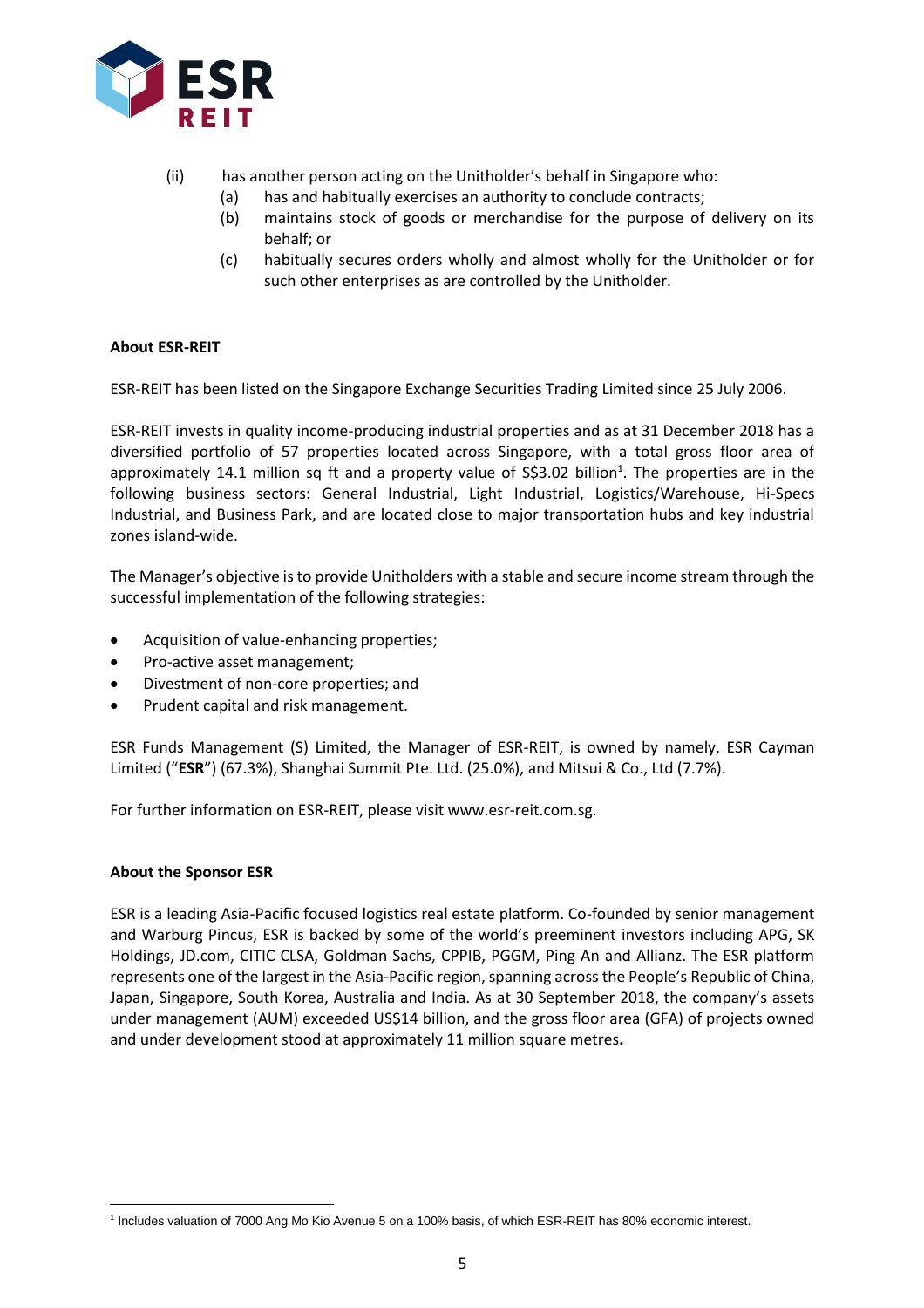

- (ii) has another person acting on the Unitholder's behalf in Singapore who:
	- (a) has and habitually exercises an authority to conclude contracts;
	- (b) maintains stock of goods or merchandise for the purpose of delivery on its behalf; or
	- (c) habitually secures orders wholly and almost wholly for the Unitholder or for such other enterprises as are controlled by the Unitholder.

## **About ESR-REIT**

ESR-REIT has been listed on the Singapore Exchange Securities Trading Limited since 25 July 2006.

ESR-REIT invests in quality income-producing industrial properties and as at 31 December 2018 has a diversified portfolio of 57 properties located across Singapore, with a total gross floor area of approximately 14.1 million sq ft and a property value of S\$3.02 billion<sup>1</sup>. The properties are in the following business sectors: General Industrial, Light Industrial, Logistics/Warehouse, Hi-Specs Industrial, and Business Park, and are located close to major transportation hubs and key industrial zones island-wide.

The Manager's objective is to provide Unitholders with a stable and secure income stream through the successful implementation of the following strategies:

- Acquisition of value-enhancing properties;
- Pro-active asset management;
- Divestment of non-core properties; and
- Prudent capital and risk management.

ESR Funds Management (S) Limited, the Manager of ESR-REIT, is owned by namely, ESR Cayman Limited ("**ESR**") (67.3%), Shanghai Summit Pte. Ltd. (25.0%), and Mitsui & Co., Ltd (7.7%).

For further information on ESR-REIT, please visit www.esr-reit.com.sg.

## **About the Sponsor ESR**

 $\overline{a}$ 

ESR is a leading Asia-Pacific focused logistics real estate platform. Co-founded by senior management and Warburg Pincus, ESR is backed by some of the world's preeminent investors including APG, SK Holdings, JD.com, CITIC CLSA, Goldman Sachs, CPPIB, PGGM, Ping An and Allianz. The ESR platform represents one of the largest in the Asia-Pacific region, spanning across the People's Republic of China, Japan, Singapore, South Korea, Australia and India. As at 30 September 2018, the company's assets under management (AUM) exceeded US\$14 billion, and the gross floor area (GFA) of projects owned and under development stood at approximately 11 million square metres**.** 

<sup>1</sup> Includes valuation of 7000 Ang Mo Kio Avenue 5 on a 100% basis, of which ESR-REIT has 80% economic interest.